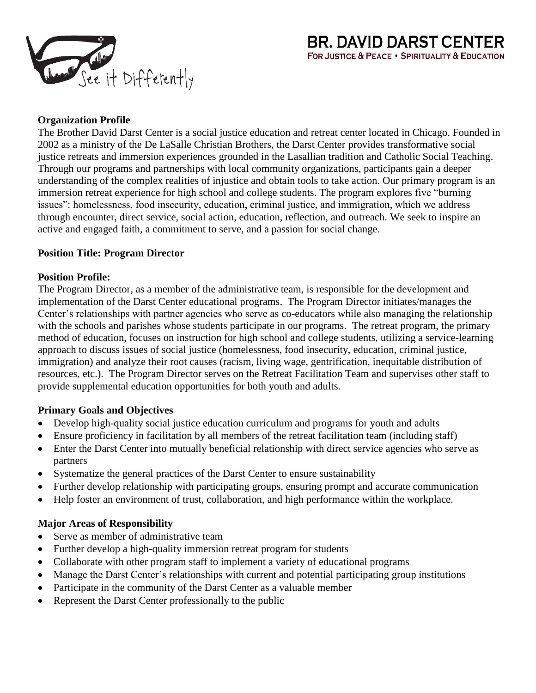

### **Organization Profile**

The Brother David Darst Center is a social justice education and retreat center located in Chicago. Founded in 2002 as a ministry of the De LaSalle Christian Brothers, the Darst Center provides transformative social justice retreats and immersion experiences grounded in the Lasallian tradition and Catholic Social Teaching. Through our programs and partnerships with local community organizations, participants gain a deeper understanding of the complex realities of injustice and obtain tools to take action. Our primary program is an immersion retreat experience for high school and college students. The program explores five "burning issues": homelessness, food insecurity, education, criminal justice, and immigration, which we address through encounter, direct service, social action, education, reflection, and outreach. We seek to inspire an active and engaged faith, a commitment to serve, and a passion for social change.

#### **Position Title: Program Director**

#### **Position Profile:**

The Program Director, as a member of the administrative team, is responsible for the development and implementation of the Darst Center educational programs. The Program Director initiates/manages the Center's relationships with partner agencies who serve as co-educators while also managing the relationship with the schools and parishes whose students participate in our programs. The retreat program, the primary method of education, focuses on instruction for high school and college students, utilizing a service-learning approach to discuss issues of social justice (homelessness, food insecurity, education, criminal justice, immigration) and analyze their root causes (racism, living wage, gentrification, inequitable distribution of resources, etc.). The Program Director serves on the Retreat Facilitation Team and supervises other staff to provide supplemental education opportunities for both youth and adults.

#### **Primary Goals and Objectives**

- Develop high-quality social justice education curriculum and programs for youth and adults
- Ensure proficiency in facilitation by all members of the retreat facilitation team (including staff)
- Enter the Darst Center into mutually beneficial relationship with direct service agencies who serve as partners
- Systematize the general practices of the Darst Center to ensure sustainability
- Further develop relationship with participating groups, ensuring prompt and accurate communication
- Help foster an environment of trust, collaboration, and high performance within the workplace.

# **Major Areas of Responsibility**

- Serve as member of administrative team
- Further develop a high-quality immersion retreat program for students
- Collaborate with other program staff to implement a variety of educational programs
- Manage the Darst Center's relationships with current and potential participating group institutions
- Participate in the community of the Darst Center as a valuable member
- Represent the Darst Center professionally to the public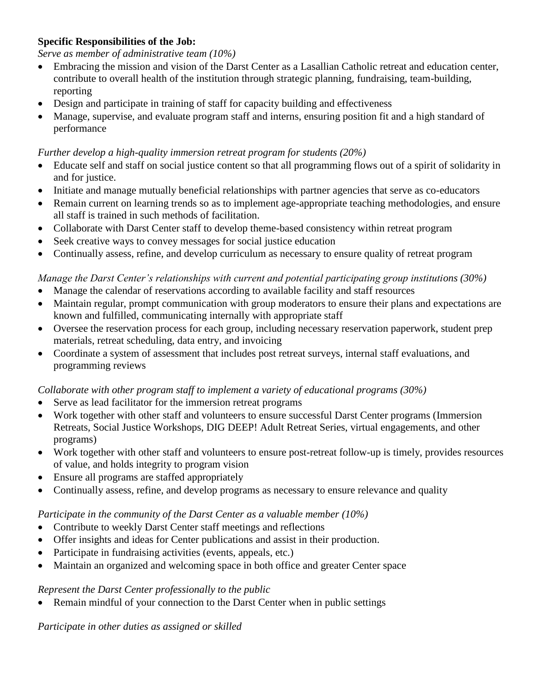### **Specific Responsibilities of the Job:**

#### *Serve as member of administrative team (10%)*

- Embracing the mission and vision of the Darst Center as a Lasallian Catholic retreat and education center, contribute to overall health of the institution through strategic planning, fundraising, team-building, reporting
- Design and participate in training of staff for capacity building and effectiveness
- Manage, supervise, and evaluate program staff and interns, ensuring position fit and a high standard of performance

#### *Further develop a high-quality immersion retreat program for students (20%)*

- Educate self and staff on social justice content so that all programming flows out of a spirit of solidarity in and for justice.
- Initiate and manage mutually beneficial relationships with partner agencies that serve as co-educators
- Remain current on learning trends so as to implement age-appropriate teaching methodologies, and ensure all staff is trained in such methods of facilitation.
- Collaborate with Darst Center staff to develop theme-based consistency within retreat program
- Seek creative ways to convey messages for social justice education
- Continually assess, refine, and develop curriculum as necessary to ensure quality of retreat program

## *Manage the Darst Center's relationships with current and potential participating group institutions (30%)*

- Manage the calendar of reservations according to available facility and staff resources
- Maintain regular, prompt communication with group moderators to ensure their plans and expectations are known and fulfilled, communicating internally with appropriate staff
- Oversee the reservation process for each group, including necessary reservation paperwork, student prep materials, retreat scheduling, data entry, and invoicing
- Coordinate a system of assessment that includes post retreat surveys, internal staff evaluations, and programming reviews

#### *Collaborate with other program staff to implement a variety of educational programs (30%)*

- Serve as lead facilitator for the immersion retreat programs
- Work together with other staff and volunteers to ensure successful Darst Center programs (Immersion Retreats, Social Justice Workshops, DIG DEEP! Adult Retreat Series, virtual engagements, and other programs)
- Work together with other staff and volunteers to ensure post-retreat follow-up is timely, provides resources of value, and holds integrity to program vision
- Ensure all programs are staffed appropriately
- Continually assess, refine, and develop programs as necessary to ensure relevance and quality

#### *Participate in the community of the Darst Center as a valuable member (10%)*

- Contribute to weekly Darst Center staff meetings and reflections
- Offer insights and ideas for Center publications and assist in their production.
- Participate in fundraising activities (events, appeals, etc.)
- Maintain an organized and welcoming space in both office and greater Center space

#### *Represent the Darst Center professionally to the public*

• Remain mindful of your connection to the Darst Center when in public settings

#### *Participate in other duties as assigned or skilled*